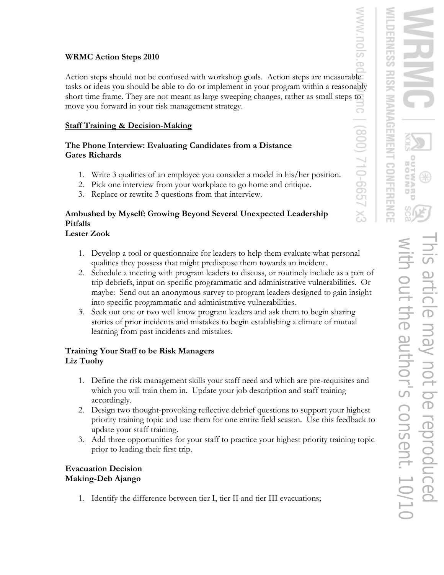### **WRMC Action Steps 2010**

Action steps should not be confused with workshop goals. Action steps are measurable tasks or ideas you should be able to do or implement in your program within a reasonably short time frame. They are not meant as large sweeping changes, rather as small steps to move you forward in your risk management strategy. 5

### **Staff Training & Decision-Making**

#### **The Phone Interview: Evaluating Candidates from a Distance Gates Richards**

- 1. Write 3 qualities of an employee you consider a model in his/her position.
- 2. Pick one interview from your workplace to go home and critique.
- 3. Replace or rewrite 3 questions from that interview.

# **Ambushed by Myself: Growing Beyond Several Unexpected Leadership Pitfalls**

# **Lester Zook**

- 1. Develop a tool or questionnaire for leaders to help them evaluate what personal qualities they possess that might predispose them towards an incident.
- 2. Schedule a meeting with program leaders to discuss, or routinely include as a part of trip debriefs, input on specific programmatic and administrative vulnerabilities. Or maybe: Send out an anonymous survey to program leaders designed to gain insight into specific programmatic and administrative vulnerabilities.
- 3. Seek out one or two well know program leaders and ask them to begin sharing stories of prior incidents and mistakes to begin establishing a climate of mutual learning from past incidents and mistakes.

## **Training Your Staff to be Risk Managers Liz Tuohy**

- 1. Define the risk management skills your staff need and which are pre-requisites and which you will train them in. Update your job description and staff training accordingly.
- 2. Design two thought-provoking reflective debrief questions to support your highest priority training topic and use them for one entire field season. Use this feedback to update your staff training.
- 3. Add three opportunities for your staff to practice your highest priority training topic prior to leading their first trip.

## **Evacuation Decision Making-Deb Ajango**

1. Identify the difference between tier I, tier II and tier III evacuations;

ò

 $(008)$ 

710-6657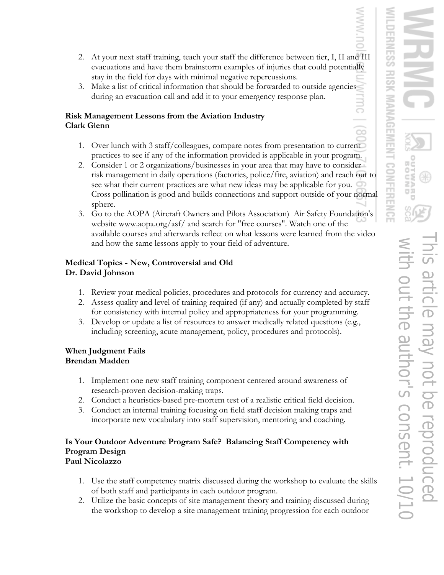œ

- 2. At your next staff training, teach your staff the difference between tier, I, II and III evacuations and have them brainstorm examples of injuries that could potentially stay in the field for days with minimal negative repercussions.
- 3. Make a list of critical information that should be forwarded to outside agencies during an evacuation call and add it to your emergency response plan.

### **Risk Management Lessons from the Aviation Industry Clark Glenn**

- 1. Over lunch with 3 staff/colleagues, compare notes from presentation to current practices to see if any of the information provided is applicable in your program.
- 2. Consider 1 or 2 organizations/businesses in your area that may have to consider risk management in daily operations (factories, police/fire, aviation) and reach out to see what their current practices are what new ideas may be applicable for you. Cross pollination is good and builds connections and support outside of your normal sphere.
- 3. Go to the AOPA (Aircraft Owners and Pilots Association) Air Safety Foundation's website www.aopa.org/asf/ and search for "free courses". Watch one of the available courses and afterwards reflect on what lessons were learned from the video and how the same lessons apply to your field of adventure.

## **Medical Topics - New, Controversial and Old Dr. David Johnson**

- 1. Review your medical policies, procedures and protocols for currency and accuracy.
- 2. Assess quality and level of training required (if any) and actually completed by staff for consistency with internal policy and appropriateness for your programming.
- 3. Develop or update a list of resources to answer medically related questions (e.g., including screening, acute management, policy, procedures and protocols).

# **When Judgment Fails Brendan Madden**

- 1. Implement one new staff training component centered around awareness of research-proven decision-making traps.
- 2. Conduct a heuristics-based pre-mortem test of a realistic critical field decision.
- 3. Conduct an internal training focusing on field staff decision making traps and incorporate new vocabulary into staff supervision, mentoring and coaching.

#### **Is Your Outdoor Adventure Program Safe? Balancing Staff Competency with Program Design Paul Nicolazzo**

- 1. Use the staff competency matrix discussed during the workshop to evaluate the skills of both staff and participants in each outdoor program.
- 2. Utilize the basic concepts of site management theory and training discussed during the workshop to develop a site management training progression for each outdoor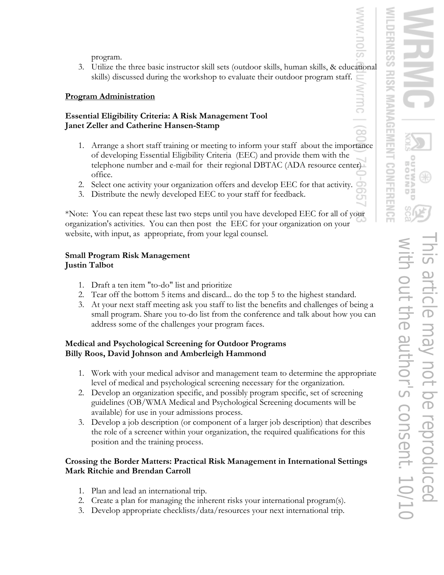program.

3. Utilize the three basic instructor skill sets (outdoor skills, human skills, & educational skills) discussed during the workshop to evaluate their outdoor program staff.

### **Program Administration**

#### **Essential Eligibility Criteria: A Risk Management Tool Janet Zeller and Catherine Hansen-Stamp**

- 1. Arrange a short staff training or meeting to inform your staff about the importance of developing Essential Eligibility Criteria (EEC) and provide them with the telephone number and e-mail for their regional DBTAC (ADA resource center) office.
- 2. Select one activity your organization offers and develop EEC for that activity.
- 3. Distribute the newly developed EEC to your staff for feedback.

\*Note: You can repeat these last two steps until you have developed EEC for all of your organization's activities. You can then post the EEC for your organization on your website, with input, as appropriate, from your legal counsel.

## **Small Program Risk Management Justin Talbot**

- 1. Draft a ten item "to-do" list and prioritize
- 2. Tear off the bottom 5 items and discard... do the top 5 to the highest standard.
- 3. At your next staff meeting ask you staff to list the benefits and challenges of being a small program. Share you to-do list from the conference and talk about how you can address some of the challenges your program faces.

# **Medical and Psychological Screening for Outdoor Programs Billy Roos, David Johnson and Amberleigh Hammond**

- 1. Work with your medical advisor and management team to determine the appropriate level of medical and psychological screening necessary for the organization.
- 2. Develop an organization specific, and possibly program specific, set of screening guidelines (OB/WMA Medical and Psychological Screening documents will be available) for use in your admissions process.
- 3. Develop a job description (or component of a larger job description) that describes the role of a screener within your organization, the required qualifications for this position and the training process.

# **Crossing the Border Matters: Practical Risk Management in International Settings Mark Ritchie and Brendan Carroll**

- 1. Plan and lead an international trip.
- 2. Create a plan for managing the inherent risks your international program(s).
- 3. Develop appropriate checklists/data/resources your next international trip.

 $\infty$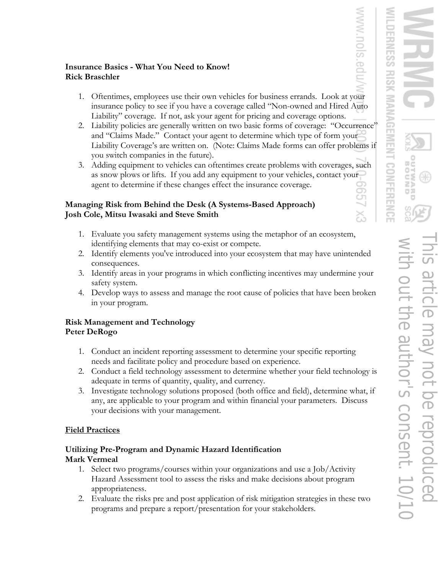## **Insurance Basics - What You Need to Know! Rick Braschler**

- 1. Oftentimes, employees use their own vehicles for business errands. Look at your insurance policy to see if you have a coverage called "Non-owned and Hired Auto Liability" coverage. If not, ask your agent for pricing and coverage options.
- 2. Liability policies are generally written on two basic forms of coverage: "Occurrence" and "Claims Made." Contact your agent to determine which type of form your Liability Coverage's are written on. (Note: Claims Made forms can offer problems if you switch companies in the future).
- 3. Adding equipment to vehicles can oftentimes create problems with coverages, such as snow plows or lifts. If you add any equipment to your vehicles, contact your agent to determine if these changes effect the insurance coverage.

## **Managing Risk from Behind the Desk (A Systems-Based Approach) Josh Cole, Mitsu Iwasaki and Steve Smith**

- 1. Evaluate you safety management systems using the metaphor of an ecosystem, identifying elements that may co-exist or compete.
- 2. Identify elements you've introduced into your ecosystem that may have unintended consequences.
- 3. Identify areas in your programs in which conflicting incentives may undermine your safety system.
- 4. Develop ways to assess and manage the root cause of policies that have been broken in your program.

# **Risk Management and Technology Peter DeRogo**

- 1. Conduct an incident reporting assessment to determine your specific reporting needs and facilitate policy and procedure based on experience.
- 2. Conduct a field technology assessment to determine whether your field technology is adequate in terms of quantity, quality, and currency.
- 3. Investigate technology solutions proposed (both office and field), determine what, if any, are applicable to your program and within financial your parameters. Discuss your decisions with your management.

# **Field Practices**

## **Utilizing Pre-Program and Dynamic Hazard Identification Mark Vermeal**

- 1. Select two programs/courses within your organizations and use a Job/Activity Hazard Assessment tool to assess the risks and make decisions about program appropriateness.
- 2. Evaluate the risks pre and post application of risk mitigation strategies in these two programs and prepare a report/presentation for your stakeholders.

.<br>Ba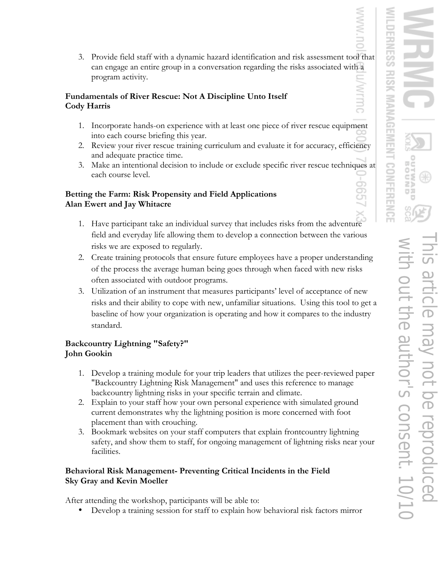#### **Fundamentals of River Rescue: Not A Discipline Unto Itself Cody Harris**

- 1. Incorporate hands-on experience with at least one piece of river rescue equipment into each course briefing this year.
- 2. Review your river rescue training curriculum and evaluate it for accuracy, efficiency and adequate practice time.
- 3. Make an intentional decision to include or exclude specific river rescue techniques at each course level.

### **Betting the Farm: Risk Propensity and Field Applications Alan Ewert and Jay Whitacre**

- 1. Have participant take an individual survey that includes risks from the adventure field and everyday life allowing them to develop a connection between the various risks we are exposed to regularly.
- 2. Create training protocols that ensure future employees have a proper understanding of the process the average human being goes through when faced with new risks often associated with outdoor programs.
- 3. Utilization of an instrument that measures participants' level of acceptance of new risks and their ability to cope with new, unfamiliar situations. Using this tool to get a baseline of how your organization is operating and how it compares to the industry standard.

# **Backcountry Lightning "Safety?" John Gookin**

- 1. Develop a training module for your trip leaders that utilizes the peer-reviewed paper "Backcountry Lightning Risk Management" and uses this reference to manage backcountry lightning risks in your specific terrain and climate.
- 2. Explain to your staff how your own personal experience with simulated ground current demonstrates why the lightning position is more concerned with foot placement than with crouching.
- 3. Bookmark websites on your staff computers that explain frontcountry lightning safety, and show them to staff, for ongoing management of lightning risks near your facilities.

# **Behavioral Risk Management- Preventing Critical Incidents in the Field Sky Gray and Kevin Moeller**

After attending the workshop, participants will be able to:

• Develop a training session for staff to explain how behavioral risk factors mirror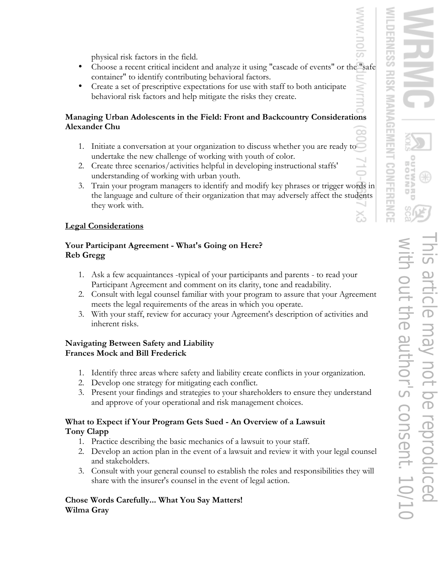physical risk factors in the field.

- Choose a recent critical incident and analyze it using "cascade of events" or the "safe container" to identify contributing behavioral factors.
- Create a set of prescriptive expectations for use with staff to both anticipate behavioral risk factors and help mitigate the risks they create.

## **Managing Urban Adolescents in the Field: Front and Backcountry Considerations Alexander Chu**

- 1. Initiate a conversation at your organization to discuss whether you are ready to undertake the new challenge of working with youth of color.
- 2. Create three scenarios/activities helpful in developing instructional staffs' understanding of working with urban youth.
- 3. Train your program managers to identify and modify key phrases or trigger words in the language and culture of their organization that may adversely affect the students they work with.

# **Legal Considerations**

# **Your Participant Agreement - What's Going on Here? Reb Gregg**

- 1. Ask a few acquaintances -typical of your participants and parents to read your Participant Agreement and comment on its clarity, tone and readability.
- 2. Consult with legal counsel familiar with your program to assure that your Agreement meets the legal requirements of the areas in which you operate.
- 3. With your staff, review for accuracy your Agreement's description of activities and inherent risks.

#### **Navigating Between Safety and Liability Frances Mock and Bill Frederick**

- 1. Identify three areas where safety and liability create conflicts in your organization.
- 2. Develop one strategy for mitigating each conflict.
- 3. Present your findings and strategies to your shareholders to ensure they understand and approve of your operational and risk management choices.

## **What to Expect if Your Program Gets Sued - An Overview of a Lawsuit Tony Clapp**

- 1. Practice describing the basic mechanics of a lawsuit to your staff.
- 2. Develop an action plan in the event of a lawsuit and review it with your legal counsel and stakeholders.
- 3. Consult with your general counsel to establish the roles and responsibilities they will share with the insurer's counsel in the event of legal action.

#### **Chose Words Carefully... What You Say Matters! Wilma Gray**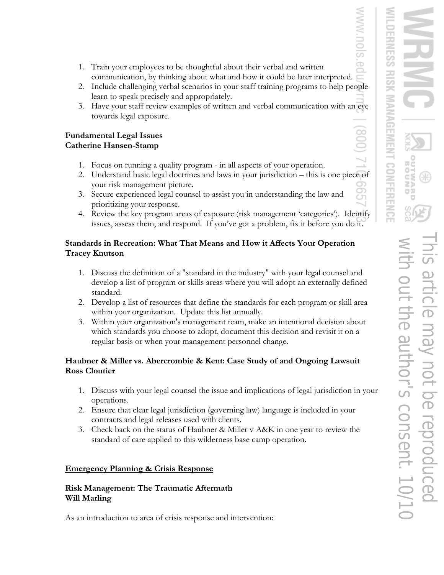ò

- 1. Train your employees to be thoughtful about their verbal and written communication, by thinking about what and how it could be later interpreted.
- 2. Include challenging verbal scenarios in your staff training programs to help people learn to speak precisely and appropriately.
- 3. Have your staff review examples of written and verbal communication with an eye towards legal exposure.

#### **Fundamental Legal Issues Catherine Hansen-Stamp**

- 1. Focus on running a quality program in all aspects of your operation.
- 2. Understand basic legal doctrines and laws in your jurisdiction this is one piece of your risk management picture.
- 3. Secure experienced legal counsel to assist you in understanding the law and prioritizing your response.
- 4. Review the key program areas of exposure (risk management 'categories'). Identify issues, assess them, and respond. If you've got a problem, fix it before you do it.

### **Standards in Recreation: What That Means and How it Affects Your Operation Tracey Knutson**

- 1. Discuss the definition of a "standard in the industry" with your legal counsel and develop a list of program or skills areas where you will adopt an externally defined standard.
- 2. Develop a list of resources that define the standards for each program or skill area within your organization. Update this list annually.
- 3. Within your organization's management team, make an intentional decision about which standards you choose to adopt, document this decision and revisit it on a regular basis or when your management personnel change.

#### **Haubner & Miller vs. Abercrombie & Kent: Case Study of and Ongoing Lawsuit Ross Cloutier**

- 1. Discuss with your legal counsel the issue and implications of legal jurisdiction in your operations.
- 2. Ensure that clear legal jurisdiction (governing law) language is included in your contracts and legal releases used with clients.
- 3. Check back on the status of Haubner & Miller v A&K in one year to review the standard of care applied to this wilderness base camp operation.

## **Emergency Planning & Crisis Response**

#### **Risk Management: The Traumatic Aftermath Will Marling**

As an introduction to area of crisis response and intervention: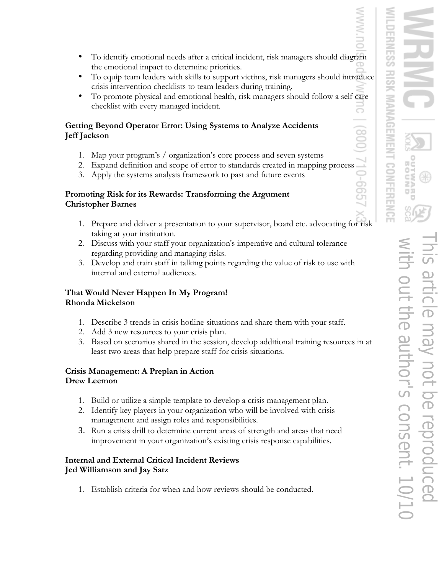- To identify emotional needs after a critical incident, risk managers should diagram the emotional impact to determine priorities.
- To equip team leaders with skills to support victims, risk managers should introduce crisis intervention checklists to team leaders during training.
- To promote physical and emotional health, risk managers should follow a self care checklist with every managed incident.

# **Getting Beyond Operator Error: Using Systems to Analyze Accidents Jeff Jackson**

- 1. Map your program's / organization's core process and seven systems
- 
- 3. Apply the systems analysis framework to past and future events

# 2. Expand definition and scope of error to standards created in mapping process 3. Apply the systems analysis framework to past and future events **Promoting Risk for its Rewards: Transforming the Argument Christopher Barnes**

- 1. Prepare and deliver a presentation to your supervisor, board etc. advocating for risk taking at your institution.
- 2. Discuss with your staff your organization's imperative and cultural tolerance regarding providing and managing risks.
- 3. Develop and train staff in talking points regarding the value of risk to use with internal and external audiences.

# **That Would Never Happen In My Program! Rhonda Mickelson**

- 1. Describe 3 trends in crisis hotline situations and share them with your staff.
- 2. Add 3 new resources to your crisis plan.
- 3. Based on scenarios shared in the session, develop additional training resources in at least two areas that help prepare staff for crisis situations.

# **Crisis Management: A Preplan in Action Drew Leemon**

- 1. Build or utilize a simple template to develop a crisis management plan.
- 2. Identify key players in your organization who will be involved with crisis management and assign roles and responsibilities.
- 3. Run a crisis drill to determine current areas of strength and areas that need improvement in your organization's existing crisis response capabilities.

# **Internal and External Critical Incident Reviews Jed Williamson and Jay Satz**

1. Establish criteria for when and how reviews should be conducted.